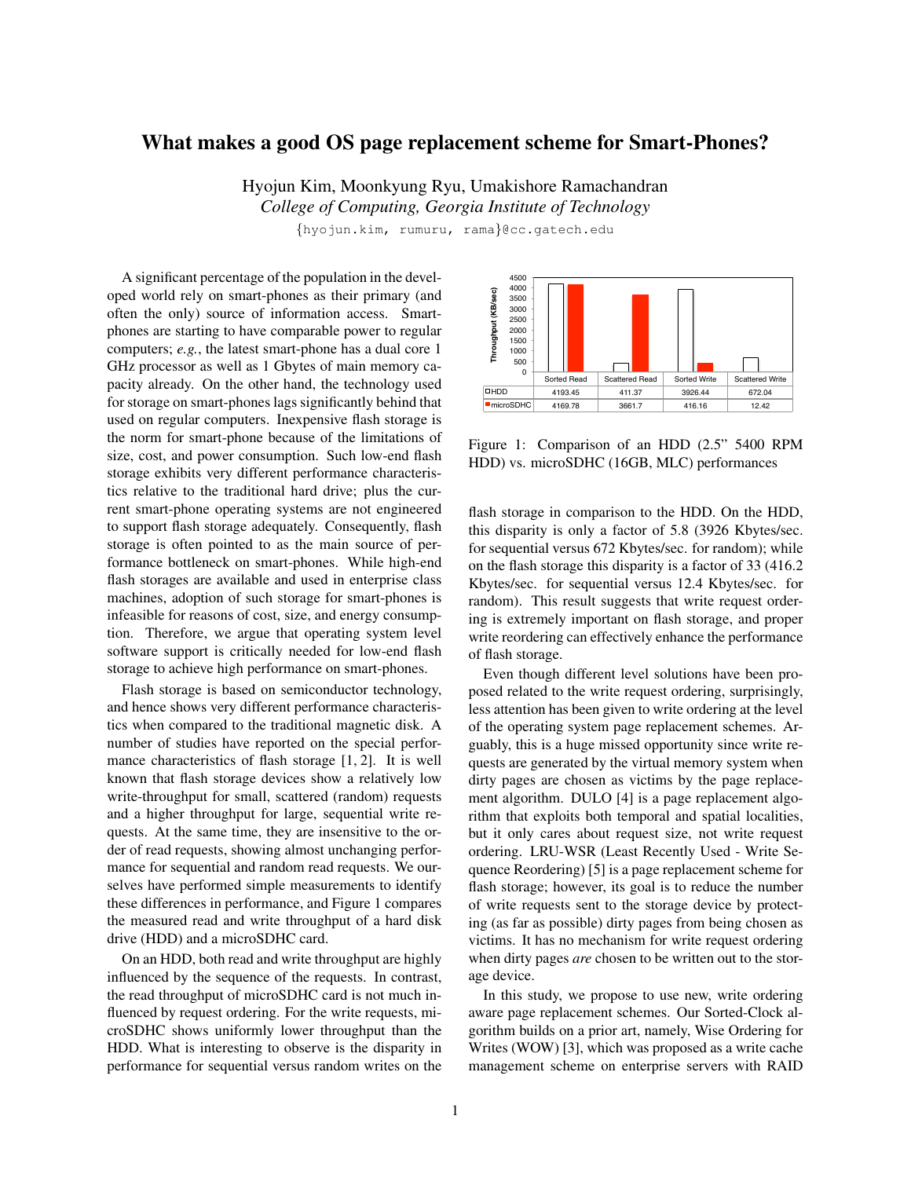## What makes a good OS page replacement scheme for Smart-Phones?

Hyojun Kim, Moonkyung Ryu, Umakishore Ramachandran *College of Computing, Georgia Institute of Technology*

{hyojun.kim, rumuru, rama}@cc.gatech.edu

A significant percentage of the population in the developed world rely on smart-phones as their primary (and often the only) source of information access. Smartphones are starting to have comparable power to regular computers; *e.g.*, the latest smart-phone has a dual core 1 GHz processor as well as 1 Gbytes of main memory capacity already. On the other hand, the technology used for storage on smart-phones lags significantly behind that used on regular computers. Inexpensive flash storage is the norm for smart-phone because of the limitations of size, cost, and power consumption. Such low-end flash storage exhibits very different performance characteristics relative to the traditional hard drive; plus the current smart-phone operating systems are not engineered to support flash storage adequately. Consequently, flash storage is often pointed to as the main source of performance bottleneck on smart-phones. While high-end flash storages are available and used in enterprise class machines, adoption of such storage for smart-phones is infeasible for reasons of cost, size, and energy consumption. Therefore, we argue that operating system level software support is critically needed for low-end flash storage to achieve high performance on smart-phones.

Flash storage is based on semiconductor technology, and hence shows very different performance characteristics when compared to the traditional magnetic disk. A number of studies have reported on the special performance characteristics of flash storage [1, 2]. It is well known that flash storage devices show a relatively low write-throughput for small, scattered (random) requests and a higher throughput for large, sequential write requests. At the same time, they are insensitive to the order of read requests, showing almost unchanging performance for sequential and random read requests. We ourselves have performed simple measurements to identify these differences in performance, and Figure 1 compares the measured read and write throughput of a hard disk drive (HDD) and a microSDHC card.

On an HDD, both read and write throughput are highly influenced by the sequence of the requests. In contrast, the read throughput of microSDHC card is not much influenced by request ordering. For the write requests, microSDHC shows uniformly lower throughput than the HDD. What is interesting to observe is the disparity in performance for sequential versus random writes on the



Figure 1: Comparison of an HDD (2.5" 5400 RPM HDD) vs. microSDHC (16GB, MLC) performances

flash storage in comparison to the HDD. On the HDD, this disparity is only a factor of 5.8 (3926 Kbytes/sec. for sequential versus 672 Kbytes/sec. for random); while on the flash storage this disparity is a factor of 33 (416.2 Kbytes/sec. for sequential versus 12.4 Kbytes/sec. for random). This result suggests that write request ordering is extremely important on flash storage, and proper write reordering can effectively enhance the performance of flash storage.

Even though different level solutions have been proposed related to the write request ordering, surprisingly, less attention has been given to write ordering at the level of the operating system page replacement schemes. Arguably, this is a huge missed opportunity since write requests are generated by the virtual memory system when dirty pages are chosen as victims by the page replacement algorithm. DULO [4] is a page replacement algorithm that exploits both temporal and spatial localities, but it only cares about request size, not write request ordering. LRU-WSR (Least Recently Used - Write Sequence Reordering) [5] is a page replacement scheme for flash storage; however, its goal is to reduce the number of write requests sent to the storage device by protecting (as far as possible) dirty pages from being chosen as victims. It has no mechanism for write request ordering when dirty pages *are* chosen to be written out to the storage device.

In this study, we propose to use new, write ordering aware page replacement schemes. Our Sorted-Clock algorithm builds on a prior art, namely, Wise Ordering for Writes (WOW) [3], which was proposed as a write cache management scheme on enterprise servers with RAID